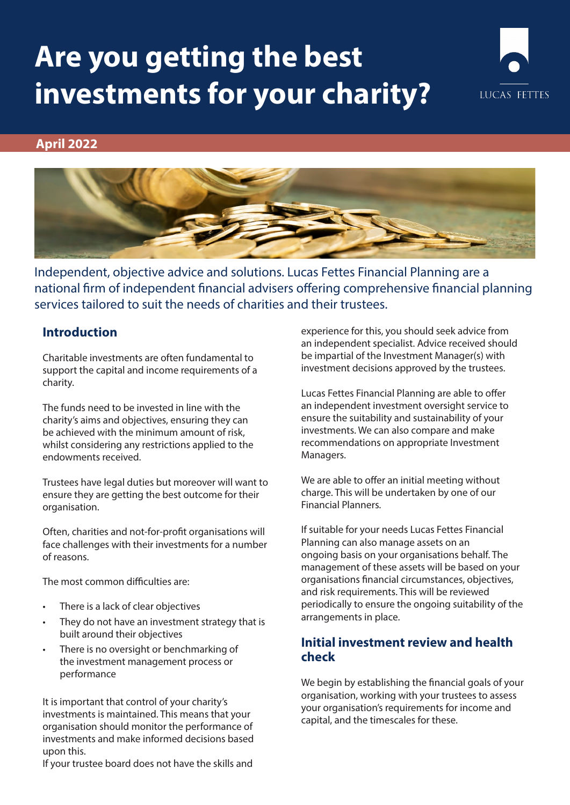# **Are you getting the best investments for your charity?**



#### **April 2022**



Independent, objective advice and solutions. Lucas Fettes Financial Planning are a national firm of independent financial advisers offering comprehensive financial planning services tailored to suit the needs of charities and their trustees.

#### **Introduction**

Charitable investments are often fundamental to support the capital and income requirements of a charity.

The funds need to be invested in line with the charity's aims and objectives, ensuring they can be achieved with the minimum amount of risk, whilst considering any restrictions applied to the endowments received.

Trustees have legal duties but moreover will want to ensure they are getting the best outcome for their organisation.

Often, charities and not-for-profit organisations will face challenges with their investments for a number of reasons.

The most common difficulties are:

- There is a lack of clear objectives
- They do not have an investment strategy that is built around their objectives
- There is no oversight or benchmarking of the investment management process or performance

It is important that control of your charity's investments is maintained. This means that your organisation should monitor the performance of investments and make informed decisions based upon this.

If your trustee board does not have the skills and

experience for this, you should seek advice from an independent specialist. Advice received should be impartial of the Investment Manager(s) with investment decisions approved by the trustees.

Lucas Fettes Financial Planning are able to offer an independent investment oversight service to ensure the suitability and sustainability of your investments. We can also compare and make recommendations on appropriate Investment Managers.

We are able to offer an initial meeting without charge. This will be undertaken by one of our Financial Planners.

If suitable for your needs Lucas Fettes Financial Planning can also manage assets on an ongoing basis on your organisations behalf. The management of these assets will be based on your organisations financial circumstances, objectives, and risk requirements. This will be reviewed periodically to ensure the ongoing suitability of the arrangements in place.

#### **Initial investment review and health check**

We begin by establishing the financial goals of your organisation, working with your trustees to assess your organisation's requirements for income and capital, and the timescales for these.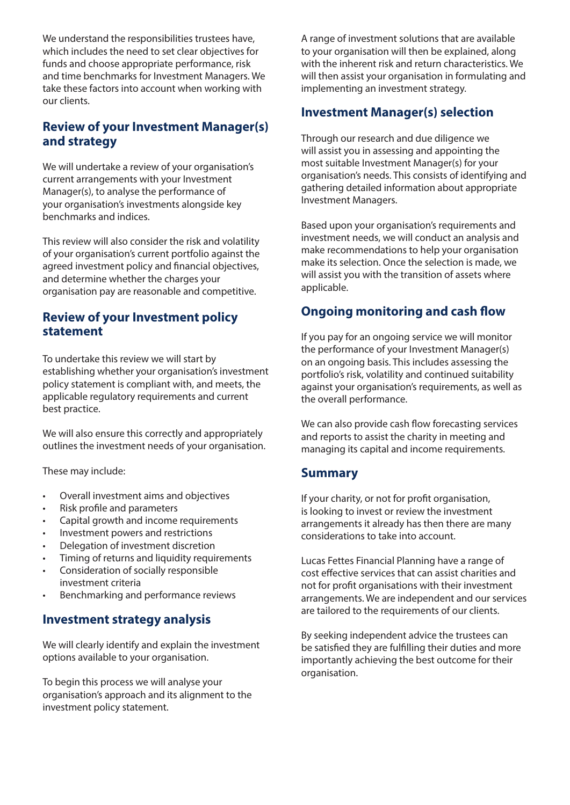We understand the responsibilities trustees have, which includes the need to set clear objectives for funds and choose appropriate performance, risk and time benchmarks for Investment Managers. We take these factors into account when working with our clients.

### **Review of your Investment Manager(s) and strategy**

We will undertake a review of your organisation's current arrangements with your Investment Manager(s), to analyse the performance of your organisation's investments alongside key benchmarks and indices.

This review will also consider the risk and volatility of your organisation's current portfolio against the agreed investment policy and financial objectives, and determine whether the charges your organisation pay are reasonable and competitive.

#### **Review of your Investment policy statement**

To undertake this review we will start by establishing whether your organisation's investment policy statement is compliant with, and meets, the applicable regulatory requirements and current best practice.

We will also ensure this correctly and appropriately outlines the investment needs of your organisation.

These may include:

- Overall investment aims and objectives
- Risk profile and parameters
- Capital growth and income requirements
- Investment powers and restrictions
- Delegation of investment discretion
- Timing of returns and liquidity requirements
- Consideration of socially responsible investment criteria
- Benchmarking and performance reviews

### **Investment strategy analysis**

We will clearly identify and explain the investment options available to your organisation.

To begin this process we will analyse your organisation's approach and its alignment to the investment policy statement.

A range of investment solutions that are available to your organisation will then be explained, along with the inherent risk and return characteristics. We will then assist your organisation in formulating and implementing an investment strategy.

### **Investment Manager(s) selection**

Through our research and due diligence we will assist you in assessing and appointing the most suitable Investment Manager(s) for your organisation's needs. This consists of identifying and gathering detailed information about appropriate Investment Managers.

Based upon your organisation's requirements and investment needs, we will conduct an analysis and make recommendations to help your organisation make its selection. Once the selection is made, we will assist you with the transition of assets where applicable.

## **Ongoing monitoring and cash flow**

If you pay for an ongoing service we will monitor the performance of your Investment Manager(s) on an ongoing basis. This includes assessing the portfolio's risk, volatility and continued suitability against your organisation's requirements, as well as the overall performance.

We can also provide cash flow forecasting services and reports to assist the charity in meeting and managing its capital and income requirements.

#### **Summary**

If your charity, or not for profit organisation, is looking to invest or review the investment arrangements it already has then there are many considerations to take into account.

Lucas Fettes Financial Planning have a range of cost effective services that can assist charities and not for profit organisations with their investment arrangements. We are independent and our services are tailored to the requirements of our clients.

By seeking independent advice the trustees can be satisfied they are fulfilling their duties and more importantly achieving the best outcome for their organisation.